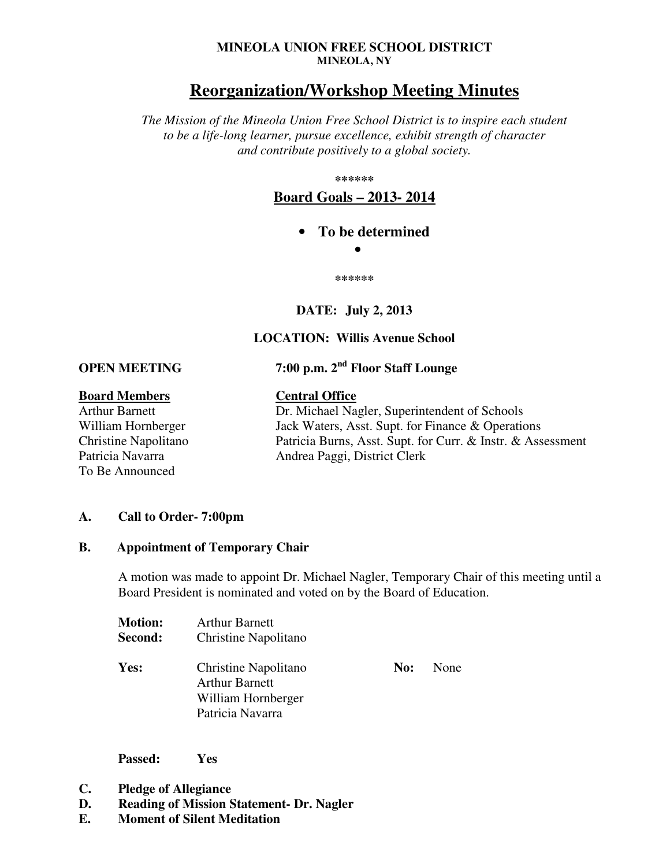#### **MINEOLA UNION FREE SCHOOL DISTRICT MINEOLA, NY**

# **Reorganization/Workshop Meeting Minutes**

*The Mission of the Mineola Union Free School District is to inspire each student to be a life-long learner, pursue excellence, exhibit strength of character and contribute positively to a global society.* 

**\*\*\*\*\*\*** 

**Board Goals – 2013- 2014**

• **To be determined** 

•

**\*\*\*\*\*\*** 

## **DATE: July 2, 2013**

## **LOCATION: Willis Avenue School**

**OPEN MEETING 7:00 p.m. 2nd Floor Staff Lounge** 

## **Board Members Central Office**

To Be Announced

Arthur Barnett Dr. Michael Nagler, Superintendent of Schools William Hornberger Jack Waters, Asst. Supt. for Finance & Operations Christine Napolitano Patricia Burns, Asst. Supt. for Curr. & Instr. & Assessment Patricia Navarra Mandrea Paggi, District Clerk

## **A. Call to Order- 7:00pm**

## **B. Appointment of Temporary Chair**

A motion was made to appoint Dr. Michael Nagler, Temporary Chair of this meeting until a Board President is nominated and voted on by the Board of Education.

| <b>Motion:</b><br>Second: | <b>Arthur Barnett</b><br>Christine Napolitano                                           |     |             |
|---------------------------|-----------------------------------------------------------------------------------------|-----|-------------|
| <b>Yes:</b>               | Christine Napolitano<br><b>Arthur Barnett</b><br>William Hornberger<br>Patricia Navarra | No: | <b>None</b> |

**Passed: Yes**

- **C. Pledge of Allegiance**
- **D. Reading of Mission Statement- Dr. Nagler**
- **E. Moment of Silent Meditation**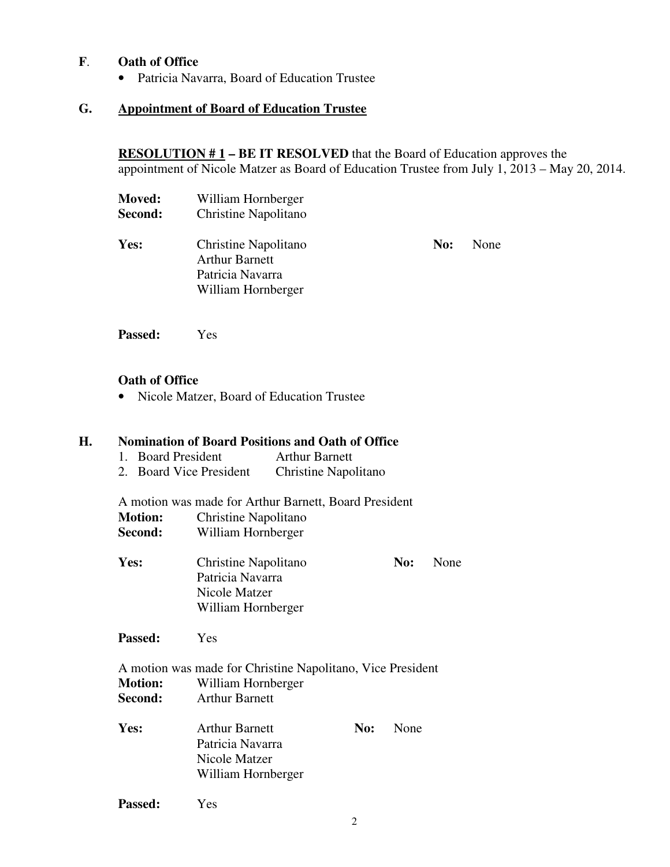## **F**. **Oath of Office**

• Patricia Navarra, Board of Education Trustee

## **G. Appointment of Board of Education Trustee**

 **RESOLUTION # 1 – BE IT RESOLVED** that the Board of Education approves the appointment of Nicole Matzer as Board of Education Trustee from July 1, 2013 – May 20, 2014.

| <b>Moved:</b><br>Second: | William Hornberger<br>Christine Napolitano                                              |     |      |
|--------------------------|-----------------------------------------------------------------------------------------|-----|------|
| Yes:                     | Christine Napolitano<br><b>Arthur Barnett</b><br>Patricia Navarra<br>William Hornberger | No: | None |

 **Passed:** Yes

#### **Oath of Office**

• Nicole Matzer, Board of Education Trustee

## **H. Nomination of Board Positions and Oath of Office**

- 1. Board President Arthur Barnett
- 2. Board Vice President Christine Napolitano

 A motion was made for Arthur Barnett, Board President  **Motion:** Christine Napolitano **Second:** William Hornberger

Yes: Christine Napolitano **No:** None Patricia Navarra Nicole Matzer William Hornberger

**Passed:** Yes

- A motion was made for Christine Napolitano, Vice President  **Motion:** William Hornberger **Second:** Arthur Barnett
- Yes: Arthur Barnett **No:** None Patricia Navarra Nicole Matzer William Hornberger

**Passed:** Yes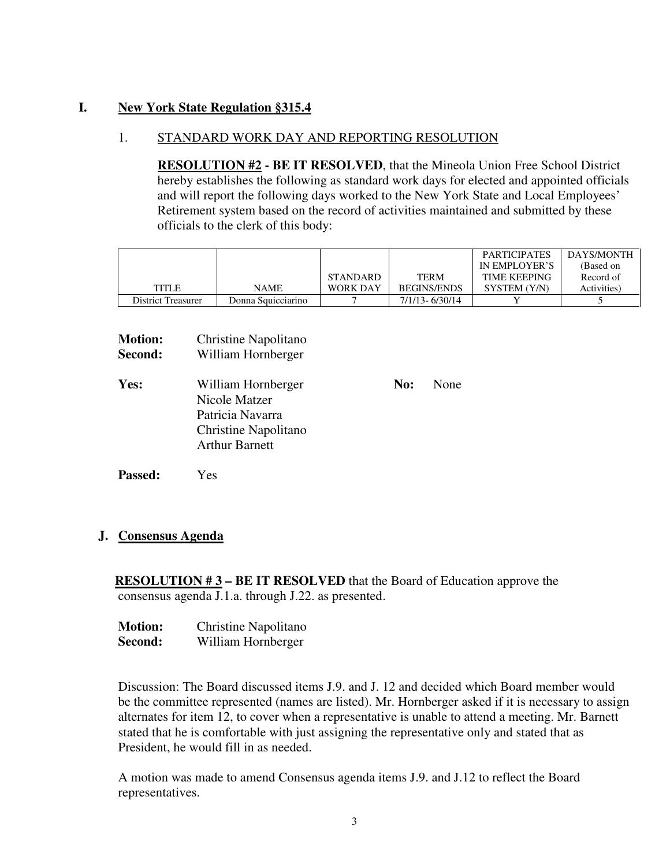## **I. New York State Regulation §315.4**

## 1. STANDARD WORK DAY AND REPORTING RESOLUTION

**RESOLUTION #2 - BE IT RESOLVED**, that the Mineola Union Free School District hereby establishes the following as standard work days for elected and appointed officials and will report the following days worked to the New York State and Local Employees' Retirement system based on the record of activities maintained and submitted by these officials to the clerk of this body:

|                    |                    |                 |                    | <b>PARTICIPATES</b> | DAYS/MONTH  |
|--------------------|--------------------|-----------------|--------------------|---------------------|-------------|
|                    |                    |                 |                    | IN EMPLOYER'S       | (Based on   |
|                    |                    | <b>STANDARD</b> | <b>TERM</b>        | <b>TIME KEEPING</b> | Record of   |
| TITLE              | NAME               | WORK DAY        | <b>BEGINS/ENDS</b> | SYSTEM (Y/N)        | Activities) |
| District Treasurer | Donna Squicciarino |                 | 7/1/13-6/30/14     |                     |             |

| <b>Motion:</b><br>Second: | Christine Napolitano<br>William Hornberger                                                               |     |      |
|---------------------------|----------------------------------------------------------------------------------------------------------|-----|------|
| Yes:                      | William Hornberger<br>Nicole Matzer<br>Patricia Navarra<br>Christine Napolitano<br><b>Arthur Barnett</b> | No: | None |

**Passed:** Yes

## **J. Consensus Agenda**

**RESOLUTION #3 – BE IT RESOLVED** that the Board of Education approve the consensus agenda J.1.a. through J.22. as presented.

| <b>Motion:</b> | Christine Napolitano |
|----------------|----------------------|
| Second:        | William Hornberger   |

Discussion: The Board discussed items J.9. and J. 12 and decided which Board member would be the committee represented (names are listed). Mr. Hornberger asked if it is necessary to assign alternates for item 12, to cover when a representative is unable to attend a meeting. Mr. Barnett stated that he is comfortable with just assigning the representative only and stated that as President, he would fill in as needed.

A motion was made to amend Consensus agenda items J.9. and J.12 to reflect the Board representatives.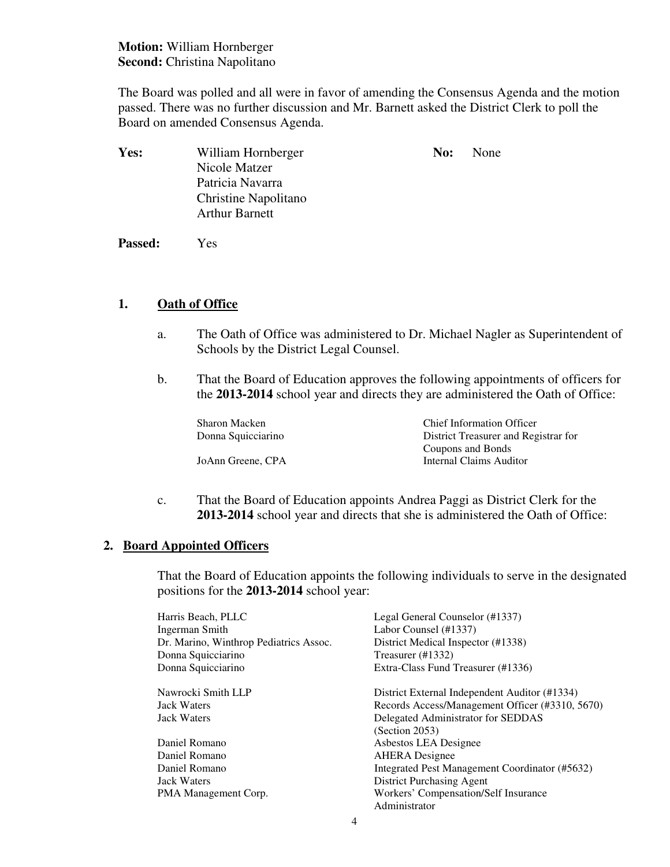**Motion:** William Hornberger **Second:** Christina Napolitano

The Board was polled and all were in favor of amending the Consensus Agenda and the motion passed. There was no further discussion and Mr. Barnett asked the District Clerk to poll the Board on amended Consensus Agenda.

| <b>Yes:</b> | William Hornberger    | No: | None |
|-------------|-----------------------|-----|------|
|             | Nicole Matzer         |     |      |
|             | Patricia Navarra      |     |      |
|             | Christine Napolitano  |     |      |
|             | <b>Arthur Barnett</b> |     |      |
|             |                       |     |      |

 **Passed:** Yes

## **1. Oath of Office**

- a. The Oath of Office was administered to Dr. Michael Nagler as Superintendent of Schools by the District Legal Counsel.
- b. That the Board of Education approves the following appointments of officers for the **2013-2014** school year and directs they are administered the Oath of Office:

Sharon Macken Chief Information Officer Donna Squicciarino District Treasurer and Registrar for Coupons and Bonds JoAnn Greene, CPA Internal Claims Auditor

c. That the Board of Education appoints Andrea Paggi as District Clerk for the **2013-2014** school year and directs that she is administered the Oath of Office:

## **2. Board Appointed Officers**

That the Board of Education appoints the following individuals to serve in the designated positions for the **2013-2014** school year:

| Harris Beach, PLLC                     | Legal General Counselor (#1337)                 |
|----------------------------------------|-------------------------------------------------|
| Ingerman Smith                         | Labor Counsel (#1337)                           |
| Dr. Marino, Winthrop Pediatrics Assoc. | District Medical Inspector (#1338)              |
| Donna Squicciarino                     | Treasurer $(\text{\#}1332)$                     |
| Donna Squicciarino                     | Extra-Class Fund Treasurer (#1336)              |
| Nawrocki Smith LLP                     | District External Independent Auditor (#1334)   |
| <b>Jack Waters</b>                     | Records Access/Management Officer (#3310, 5670) |
| <b>Jack Waters</b>                     | Delegated Administrator for SEDDAS              |
|                                        | (Section 2053)                                  |
| Daniel Romano                          | Asbestos LEA Designee                           |
| Daniel Romano                          | <b>AHERA</b> Designee                           |
| Daniel Romano                          | Integrated Pest Management Coordinator (#5632)  |
| Jack Waters                            | District Purchasing Agent                       |
| PMA Management Corp.                   | Workers' Compensation/Self Insurance            |
|                                        | Administrator                                   |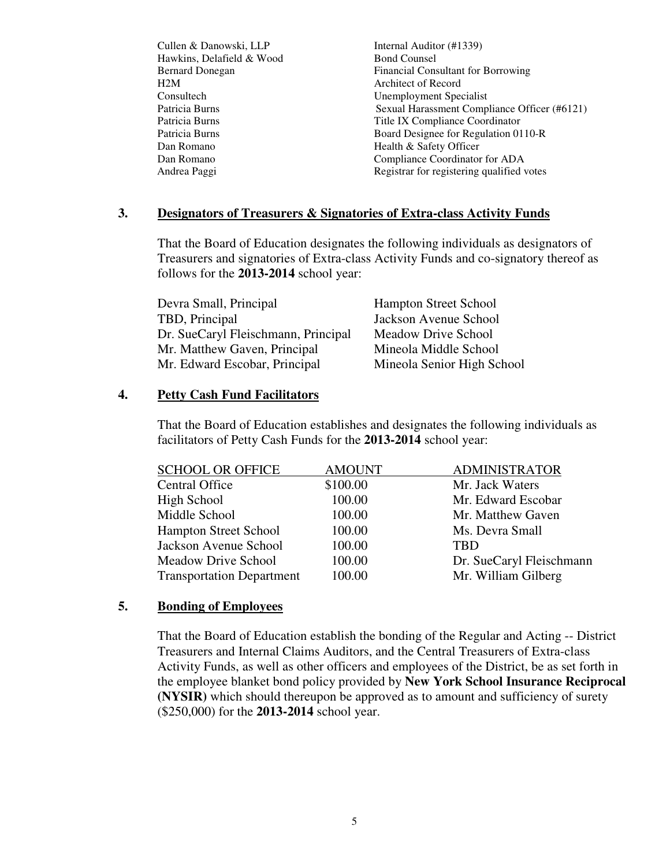Cullen & Danowski, LLP Internal Auditor (#1339) Hawkins, Delafield & Wood Bond Counsel H2M Architect of Record Consultech Unemployment Specialist Dan Romano Health & Safety Officer

Bernard Donegan Financial Consultant for Borrowing Patricia Burns Sexual Harassment Compliance Officer (#6121) Patricia Burns Title IX Compliance Coordinator Patricia Burns Board Designee for Regulation 0110-R Dan Romano Compliance Coordinator for ADA Andrea Paggi **Registrar for registering qualified votes** Registrar for registering qualified votes

### **3. Designators of Treasurers & Signatories of Extra-class Activity Funds**

That the Board of Education designates the following individuals as designators of Treasurers and signatories of Extra-class Activity Funds and co-signatory thereof as follows for the **2013-2014** school year:

| Devra Small, Principal              | <b>Hampton Street School</b> |
|-------------------------------------|------------------------------|
| TBD, Principal                      | Jackson Avenue School        |
| Dr. SueCaryl Fleischmann, Principal | Meadow Drive School          |
| Mr. Matthew Gaven, Principal        | Mineola Middle School        |
| Mr. Edward Escobar, Principal       | Mineola Senior High School   |

#### **4. Petty Cash Fund Facilitators**

That the Board of Education establishes and designates the following individuals as facilitators of Petty Cash Funds for the **2013-2014** school year:

| <b>SCHOOL OR OFFICE</b>          | <b>AMOUNT</b> | <b>ADMINISTRATOR</b>     |
|----------------------------------|---------------|--------------------------|
| Central Office                   | \$100.00      | Mr. Jack Waters          |
| High School                      | 100.00        | Mr. Edward Escobar       |
| Middle School                    | 100.00        | Mr. Matthew Gaven        |
| <b>Hampton Street School</b>     | 100.00        | Ms. Devra Small          |
| Jackson Avenue School            | 100.00        | <b>TBD</b>               |
| Meadow Drive School              | 100.00        | Dr. SueCaryl Fleischmann |
| <b>Transportation Department</b> | 100.00        | Mr. William Gilberg      |

#### **5. Bonding of Employees**

 That the Board of Education establish the bonding of the Regular and Acting -- District Treasurers and Internal Claims Auditors, and the Central Treasurers of Extra-class Activity Funds, as well as other officers and employees of the District, be as set forth in the employee blanket bond policy provided by **New York School Insurance Reciprocal (NYSIR)** which should thereupon be approved as to amount and sufficiency of surety (\$250,000) for the **2013-2014** school year.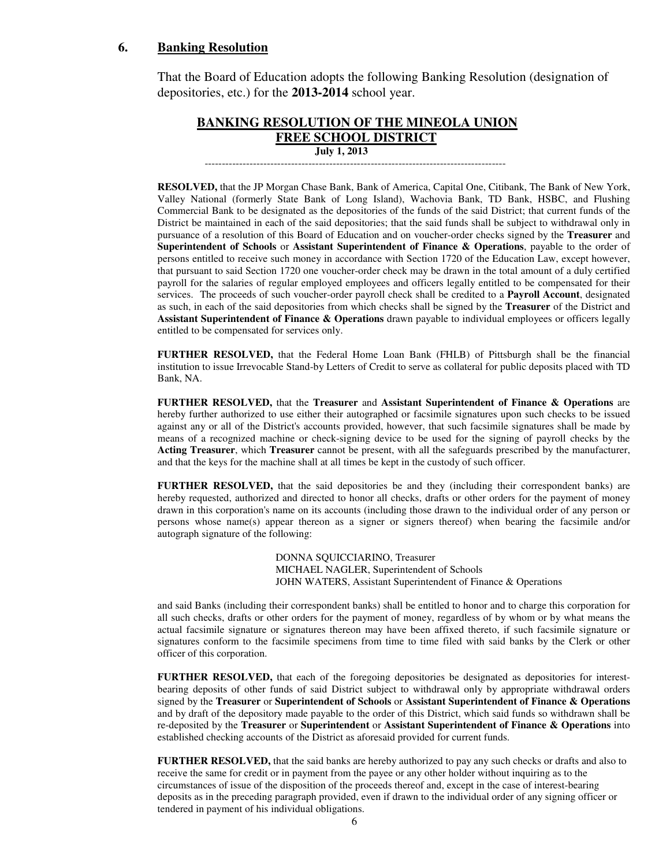#### **6. Banking Resolution**

That the Board of Education adopts the following Banking Resolution (designation of depositories, etc.) for the **2013-2014** school year.

#### **BANKING RESOLUTION OF THE MINEOLA UNION FREE SCHOOL DISTRICT July 1, 2013**

---------------------------------------------------------------------------------------

 **RESOLVED,** that the JP Morgan Chase Bank, Bank of America, Capital One, Citibank, The Bank of New York, Valley National (formerly State Bank of Long Island), Wachovia Bank, TD Bank, HSBC, and Flushing Commercial Bank to be designated as the depositories of the funds of the said District; that current funds of the District be maintained in each of the said depositories; that the said funds shall be subject to withdrawal only in pursuance of a resolution of this Board of Education and on voucher-order checks signed by the **Treasurer** and **Superintendent of Schools** or **Assistant Superintendent of Finance & Operations**, payable to the order of persons entitled to receive such money in accordance with Section 1720 of the Education Law, except however, that pursuant to said Section 1720 one voucher-order check may be drawn in the total amount of a duly certified payroll for the salaries of regular employed employees and officers legally entitled to be compensated for their services. The proceeds of such voucher-order payroll check shall be credited to a **Payroll Account**, designated as such, in each of the said depositories from which checks shall be signed by the **Treasurer** of the District and **Assistant Superintendent of Finance & Operations** drawn payable to individual employees or officers legally entitled to be compensated for services only.

**FURTHER RESOLVED,** that the Federal Home Loan Bank (FHLB) of Pittsburgh shall be the financial institution to issue Irrevocable Stand-by Letters of Credit to serve as collateral for public deposits placed with TD Bank, NA.

**FURTHER RESOLVED,** that the **Treasurer** and **Assistant Superintendent of Finance & Operations** are hereby further authorized to use either their autographed or facsimile signatures upon such checks to be issued against any or all of the District's accounts provided, however, that such facsimile signatures shall be made by means of a recognized machine or check-signing device to be used for the signing of payroll checks by the **Acting Treasurer**, which **Treasurer** cannot be present, with all the safeguards prescribed by the manufacturer, and that the keys for the machine shall at all times be kept in the custody of such officer.

**FURTHER RESOLVED,** that the said depositories be and they (including their correspondent banks) are hereby requested, authorized and directed to honor all checks, drafts or other orders for the payment of money drawn in this corporation's name on its accounts (including those drawn to the individual order of any person or persons whose name(s) appear thereon as a signer or signers thereof) when bearing the facsimile and/or autograph signature of the following:

> DONNA SQUICCIARINO, Treasurer MICHAEL NAGLER, Superintendent of Schools JOHN WATERS, Assistant Superintendent of Finance & Operations

and said Banks (including their correspondent banks) shall be entitled to honor and to charge this corporation for all such checks, drafts or other orders for the payment of money, regardless of by whom or by what means the actual facsimile signature or signatures thereon may have been affixed thereto, if such facsimile signature or signatures conform to the facsimile specimens from time to time filed with said banks by the Clerk or other officer of this corporation.

**FURTHER RESOLVED,** that each of the foregoing depositories be designated as depositories for interestbearing deposits of other funds of said District subject to withdrawal only by appropriate withdrawal orders signed by the **Treasurer** or **Superintendent of Schools** or **Assistant Superintendent of Finance & Operations** and by draft of the depository made payable to the order of this District, which said funds so withdrawn shall be re-deposited by the **Treasurer** or **Superintendent** or **Assistant Superintendent of Finance & Operations** into established checking accounts of the District as aforesaid provided for current funds.

**FURTHER RESOLVED,** that the said banks are hereby authorized to pay any such checks or drafts and also to receive the same for credit or in payment from the payee or any other holder without inquiring as to the circumstances of issue of the disposition of the proceeds thereof and, except in the case of interest-bearing deposits as in the preceding paragraph provided, even if drawn to the individual order of any signing officer or tendered in payment of his individual obligations.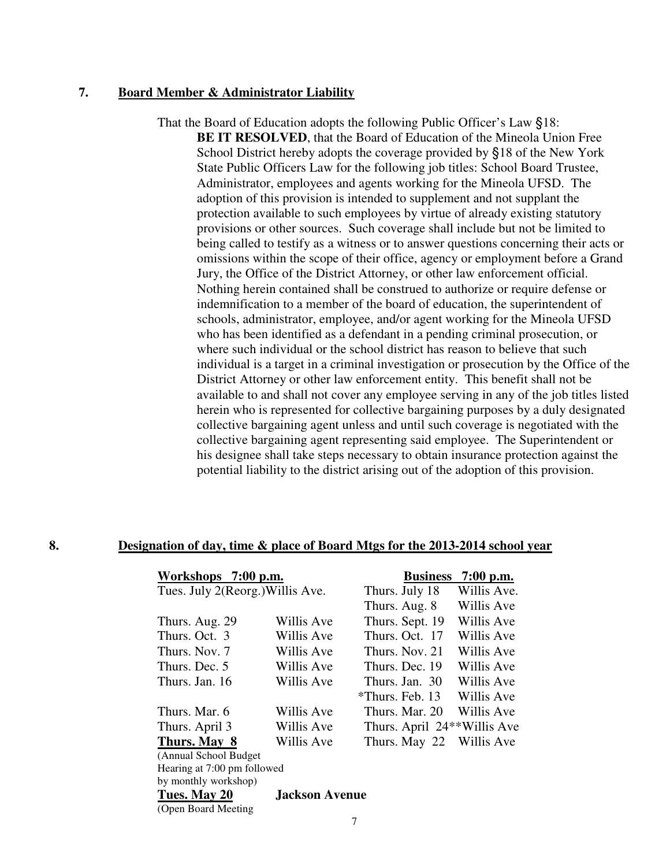#### **7. Board Member & Administrator Liability**

 That the Board of Education adopts the following Public Officer's Law §18: **BE IT RESOLVED**, that the Board of Education of the Mineola Union Free School District hereby adopts the coverage provided by §18 of the New York State Public Officers Law for the following job titles: School Board Trustee, Administrator, employees and agents working for the Mineola UFSD. The adoption of this provision is intended to supplement and not supplant the protection available to such employees by virtue of already existing statutory provisions or other sources. Such coverage shall include but not be limited to being called to testify as a witness or to answer questions concerning their acts or omissions within the scope of their office, agency or employment before a Grand Jury, the Office of the District Attorney, or other law enforcement official. Nothing herein contained shall be construed to authorize or require defense or indemnification to a member of the board of education, the superintendent of schools, administrator, employee, and/or agent working for the Mineola UFSD who has been identified as a defendant in a pending criminal prosecution, or where such individual or the school district has reason to believe that such individual is a target in a criminal investigation or prosecution by the Office of the District Attorney or other law enforcement entity. This benefit shall not be available to and shall not cover any employee serving in any of the job titles listed herein who is represented for collective bargaining purposes by a duly designated collective bargaining agent unless and until such coverage is negotiated with the collective bargaining agent representing said employee. The Superintendent or his designee shall take steps necessary to obtain insurance protection against the potential liability to the district arising out of the adoption of this provision.

| Workshops 7:00 p.m.              |                       | <b>Business</b>                          | $7:00$ p.m. |
|----------------------------------|-----------------------|------------------------------------------|-------------|
| Tues. July 2(Reorg.) Willis Ave. |                       | Thurs. July 18                           | Willis Ave. |
|                                  |                       | Thurs. Aug. 8                            | Willis Ave  |
| Thurs. Aug. 29                   | Willis Ave            | Thurs. Sept. 19                          | Willis Ave  |
| Thurs. Oct. 3                    | Willis Ave            | Thurs. Oct. 17                           | Willis Ave  |
| Thurs. Nov. 7                    | Willis Ave            | Thurs, Nov. 21                           | Willis Ave  |
| Thurs. Dec. 5                    | Willis Ave            | Thurs, Dec. 19                           | Willis Ave  |
| Thurs. Jan. 16                   | Willis Ave            | Thurs, Jan. 30                           | Willis Ave  |
|                                  |                       | *Thurs. Feb. 13                          | Willis Ave  |
| Thurs. Mar. 6                    | Willis Ave            | Thurs. Mar. 20.                          | Willis Ave  |
| Thurs. April 3                   | Willis Ave            | Thurs. April 24 <sup>**</sup> Willis Ave |             |
| Thurs. May 8                     | Willis Ave            | Thurs. May 22                            | Willis Ave  |
| (Annual School Budget)           |                       |                                          |             |
| Hearing at 7:00 pm followed      |                       |                                          |             |
| by monthly workshop)             |                       |                                          |             |
| Tues. May 20                     | <b>Jackson Avenue</b> |                                          |             |

#### **8. Designation of day, time & place of Board Mtgs for the 2013-2014 school year**

(Open Board Meeting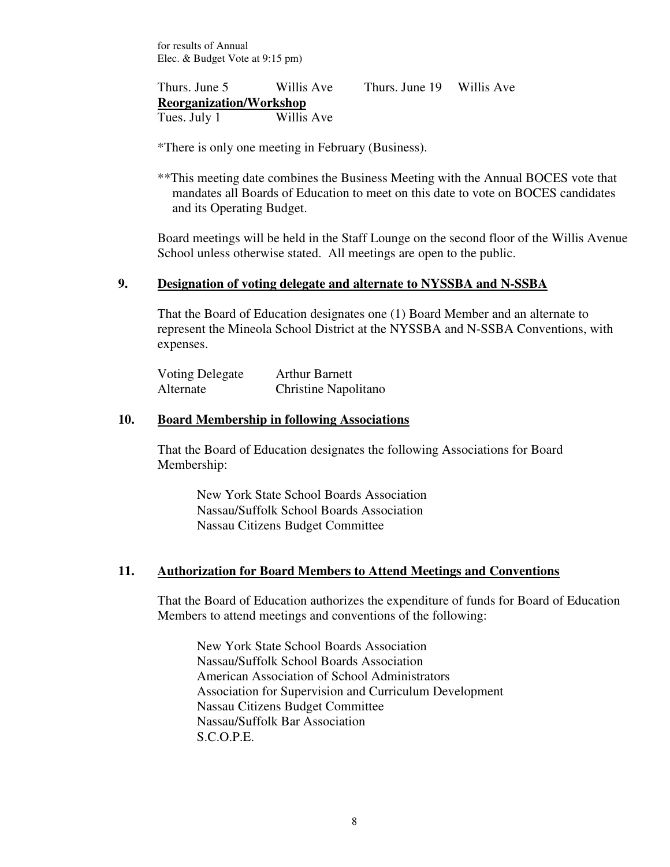for results of Annual Elec. & Budget Vote at 9:15 pm)

Thurs. June 5 Willis Ave Thurs. June 19 Willis Ave **Reorganization/Workshop** Tues. July 1 Willis Ave

\*There is only one meeting in February (Business).

\*\*This meeting date combines the Business Meeting with the Annual BOCES vote that mandates all Boards of Education to meet on this date to vote on BOCES candidates and its Operating Budget.

Board meetings will be held in the Staff Lounge on the second floor of the Willis Avenue School unless otherwise stated. All meetings are open to the public.

## **9. Designation of voting delegate and alternate to NYSSBA and N-SSBA**

That the Board of Education designates one (1) Board Member and an alternate to represent the Mineola School District at the NYSSBA and N-SSBA Conventions, with expenses.

| Voting Delegate | <b>Arthur Barnett</b> |
|-----------------|-----------------------|
| Alternate       | Christine Napolitano  |

## **10. Board Membership in following Associations**

That the Board of Education designates the following Associations for Board Membership:

New York State School Boards Association Nassau/Suffolk School Boards Association Nassau Citizens Budget Committee

## **11. Authorization for Board Members to Attend Meetings and Conventions**

That the Board of Education authorizes the expenditure of funds for Board of Education Members to attend meetings and conventions of the following:

New York State School Boards Association Nassau/Suffolk School Boards Association American Association of School Administrators Association for Supervision and Curriculum Development Nassau Citizens Budget Committee Nassau/Suffolk Bar Association S.C.O.P.E.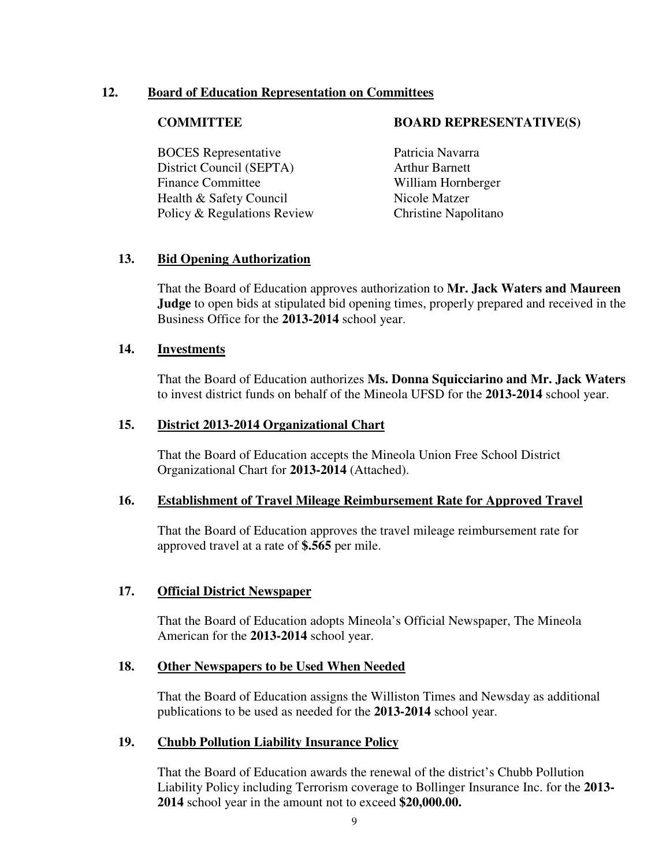## **12. Board of Education Representation on Committees**

BOCES Representative Patricia Navarra District Council (SEPTA) Arthur Barnett Finance Committee William Hornberger Health & Safety Council Nicole Matzer Policy & Regulations Review Christine Napolitano

#### **COMMITTEE BOARD REPRESENTATIVE(S)**

## **13. Bid Opening Authorization**

That the Board of Education approves authorization to **Mr. Jack Waters and Maureen Judge** to open bids at stipulated bid opening times, properly prepared and received in the Business Office for the **2013-2014** school year.

## **14. Investments**

That the Board of Education authorizes **Ms. Donna Squicciarino and Mr. Jack Waters** to invest district funds on behalf of the Mineola UFSD for the **2013-2014** school year.

## **15. District 2013-2014 Organizational Chart**

That the Board of Education accepts the Mineola Union Free School District Organizational Chart for **2013-2014** (Attached).

## **16. Establishment of Travel Mileage Reimbursement Rate for Approved Travel**

That the Board of Education approves the travel mileage reimbursement rate for approved travel at a rate of **\$.565** per mile.

## **17. Official District Newspaper**

That the Board of Education adopts Mineola's Official Newspaper, The Mineola American for the **2013-2014** school year.

## **18. Other Newspapers to be Used When Needed**

That the Board of Education assigns the Williston Times and Newsday as additional publications to be used as needed for the **2013-2014** school year.

## **19. Chubb Pollution Liability Insurance Policy**

That the Board of Education awards the renewal of the district's Chubb Pollution Liability Policy including Terrorism coverage to Bollinger Insurance Inc. for the **2013- 2014** school year in the amount not to exceed **\$20,000.00.**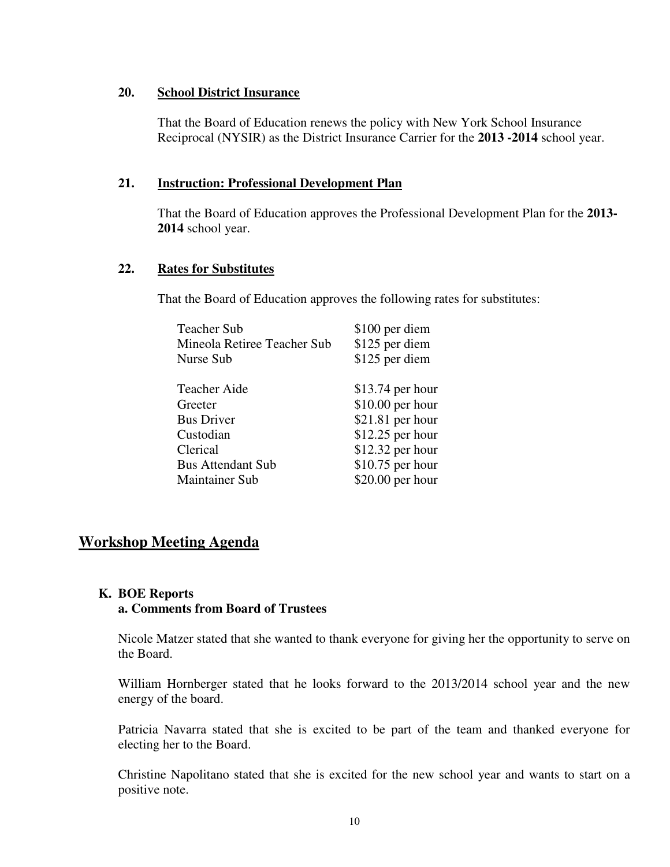#### **20. School District Insurance**

That the Board of Education renews the policy with New York School Insurance Reciprocal (NYSIR) as the District Insurance Carrier for the **2013 -2014** school year.

## **21. Instruction: Professional Development Plan**

That the Board of Education approves the Professional Development Plan for the **2013- 2014** school year.

## **22. Rates for Substitutes**

That the Board of Education approves the following rates for substitutes:

| \$100 per diem    |
|-------------------|
| \$125 per diem    |
| \$125 per diem    |
|                   |
| $$13.74$ per hour |
| $$10.00$ per hour |
| $$21.81$ per hour |
| $$12.25$ per hour |
| $$12.32$ per hour |
| $$10.75$ per hour |
| $$20.00$ per hour |
|                   |

## **Workshop Meeting Agenda**

#### **K. BOE Reports a. Comments from Board of Trustees**

Nicole Matzer stated that she wanted to thank everyone for giving her the opportunity to serve on the Board.

William Hornberger stated that he looks forward to the 2013/2014 school year and the new energy of the board.

Patricia Navarra stated that she is excited to be part of the team and thanked everyone for electing her to the Board.

Christine Napolitano stated that she is excited for the new school year and wants to start on a positive note.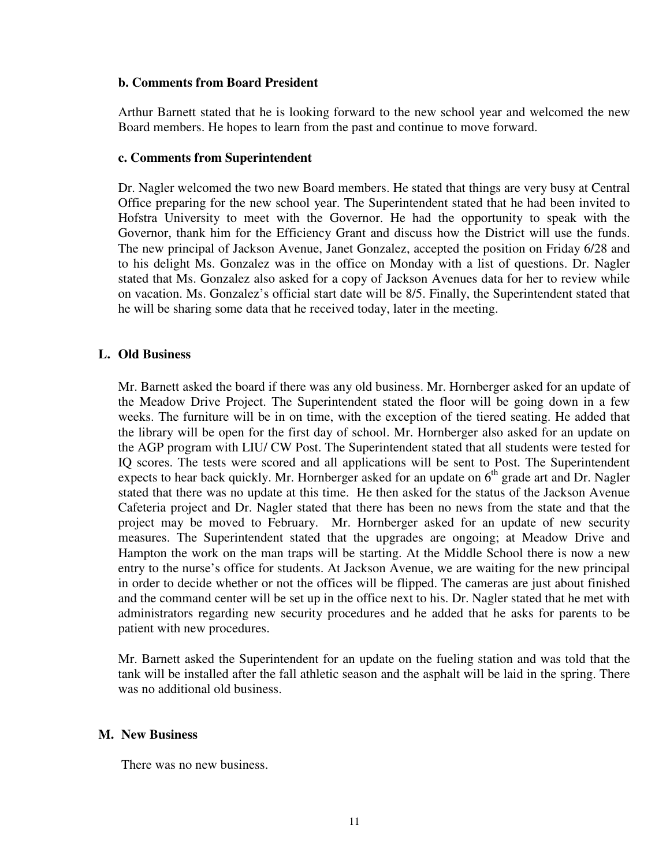#### **b. Comments from Board President**

Arthur Barnett stated that he is looking forward to the new school year and welcomed the new Board members. He hopes to learn from the past and continue to move forward.

#### **c. Comments from Superintendent**

Dr. Nagler welcomed the two new Board members. He stated that things are very busy at Central Office preparing for the new school year. The Superintendent stated that he had been invited to Hofstra University to meet with the Governor. He had the opportunity to speak with the Governor, thank him for the Efficiency Grant and discuss how the District will use the funds. The new principal of Jackson Avenue, Janet Gonzalez, accepted the position on Friday 6/28 and to his delight Ms. Gonzalez was in the office on Monday with a list of questions. Dr. Nagler stated that Ms. Gonzalez also asked for a copy of Jackson Avenues data for her to review while on vacation. Ms. Gonzalez's official start date will be 8/5. Finally, the Superintendent stated that he will be sharing some data that he received today, later in the meeting.

## **L. Old Business**

Mr. Barnett asked the board if there was any old business. Mr. Hornberger asked for an update of the Meadow Drive Project. The Superintendent stated the floor will be going down in a few weeks. The furniture will be in on time, with the exception of the tiered seating. He added that the library will be open for the first day of school. Mr. Hornberger also asked for an update on the AGP program with LIU/ CW Post. The Superintendent stated that all students were tested for IQ scores. The tests were scored and all applications will be sent to Post. The Superintendent expects to hear back quickly. Mr. Hornberger asked for an update on  $6<sup>th</sup>$  grade art and Dr. Nagler stated that there was no update at this time. He then asked for the status of the Jackson Avenue Cafeteria project and Dr. Nagler stated that there has been no news from the state and that the project may be moved to February. Mr. Hornberger asked for an update of new security measures. The Superintendent stated that the upgrades are ongoing; at Meadow Drive and Hampton the work on the man traps will be starting. At the Middle School there is now a new entry to the nurse's office for students. At Jackson Avenue, we are waiting for the new principal in order to decide whether or not the offices will be flipped. The cameras are just about finished and the command center will be set up in the office next to his. Dr. Nagler stated that he met with administrators regarding new security procedures and he added that he asks for parents to be patient with new procedures.

Mr. Barnett asked the Superintendent for an update on the fueling station and was told that the tank will be installed after the fall athletic season and the asphalt will be laid in the spring. There was no additional old business.

## **M. New Business**

There was no new business.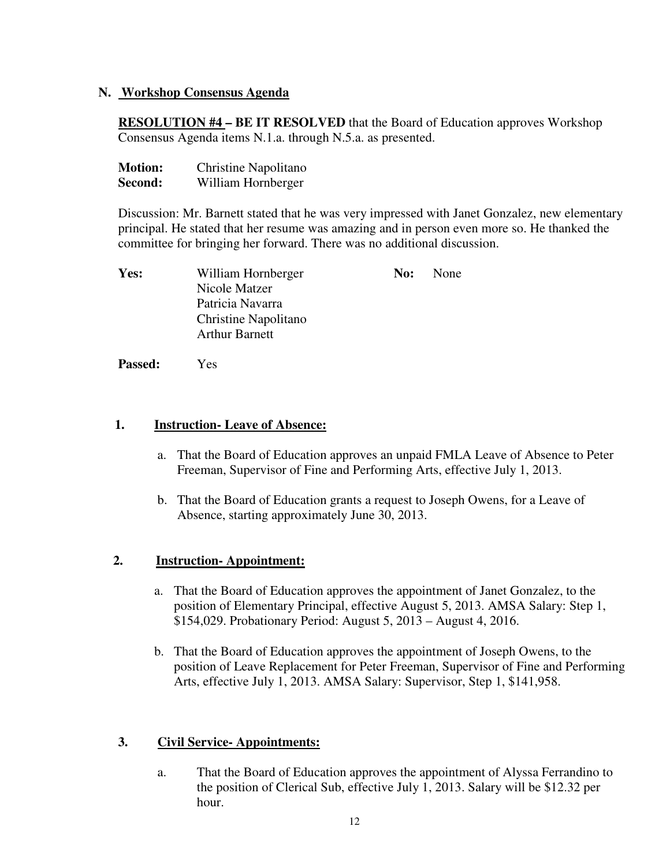## **N. Workshop Consensus Agenda**

**RESOLUTION #4 – BE IT RESOLVED** that the Board of Education approves Workshop Consensus Agenda items N.1.a. through N.5.a. as presented.

| <b>Motion:</b> | Christine Napolitano |
|----------------|----------------------|
| Second:        | William Hornberger   |

Discussion: Mr. Barnett stated that he was very impressed with Janet Gonzalez, new elementary principal. He stated that her resume was amazing and in person even more so. He thanked the committee for bringing her forward. There was no additional discussion.

| Yes: | William Hornberger    | No: | None |
|------|-----------------------|-----|------|
|      | Nicole Matzer         |     |      |
|      | Patricia Navarra      |     |      |
|      | Christine Napolitano  |     |      |
|      | <b>Arthur Barnett</b> |     |      |

**Passed:** Yes

## **1. Instruction- Leave of Absence:**

- a. That the Board of Education approves an unpaid FMLA Leave of Absence to Peter Freeman, Supervisor of Fine and Performing Arts, effective July 1, 2013.
- b. That the Board of Education grants a request to Joseph Owens, for a Leave of Absence, starting approximately June 30, 2013.

## **2. Instruction- Appointment:**

- a. That the Board of Education approves the appointment of Janet Gonzalez, to the position of Elementary Principal, effective August 5, 2013. AMSA Salary: Step 1, \$154,029. Probationary Period: August 5, 2013 – August 4, 2016.
- b. That the Board of Education approves the appointment of Joseph Owens, to the position of Leave Replacement for Peter Freeman, Supervisor of Fine and Performing Arts, effective July 1, 2013. AMSA Salary: Supervisor, Step 1, \$141,958.

## **3. Civil Service- Appointments:**

a. That the Board of Education approves the appointment of Alyssa Ferrandino to the position of Clerical Sub, effective July 1, 2013. Salary will be \$12.32 per hour.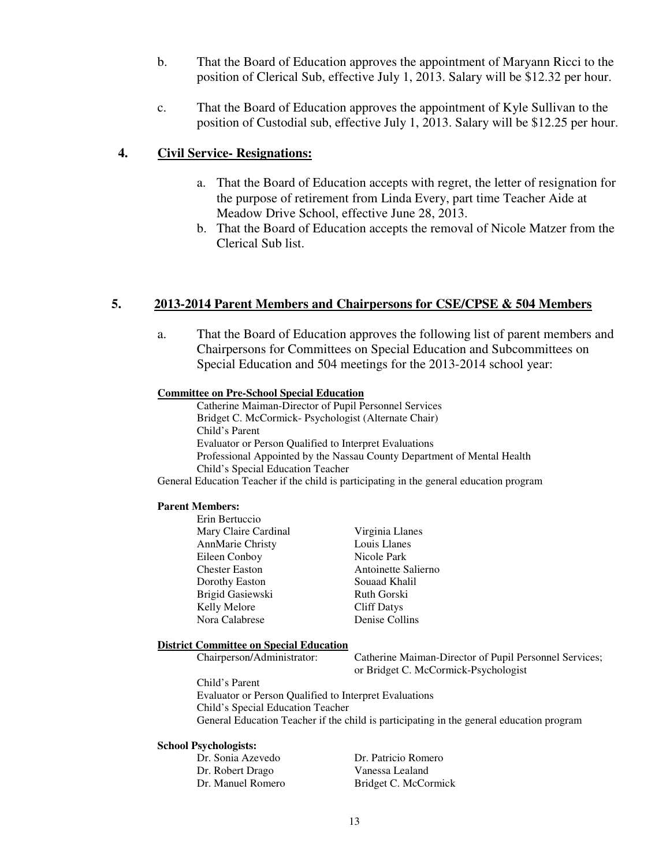- b. That the Board of Education approves the appointment of Maryann Ricci to the position of Clerical Sub, effective July 1, 2013. Salary will be \$12.32 per hour.
- c. That the Board of Education approves the appointment of Kyle Sullivan to the position of Custodial sub, effective July 1, 2013. Salary will be \$12.25 per hour.

#### **4. Civil Service- Resignations:**

- a. That the Board of Education accepts with regret, the letter of resignation for the purpose of retirement from Linda Every, part time Teacher Aide at Meadow Drive School, effective June 28, 2013.
- b. That the Board of Education accepts the removal of Nicole Matzer from the Clerical Sub list.

#### **5. 2013-2014 Parent Members and Chairpersons for CSE/CPSE & 504 Members**

a. That the Board of Education approves the following list of parent members and Chairpersons for Committees on Special Education and Subcommittees on Special Education and 504 meetings for the 2013-2014 school year:

#### **Committee on Pre-School Special Education**

Catherine Maiman-Director of Pupil Personnel Services Bridget C. McCormick- Psychologist (Alternate Chair) Child's Parent Evaluator or Person Qualified to Interpret Evaluations Professional Appointed by the Nassau County Department of Mental Health Child's Special Education Teacher

General Education Teacher if the child is participating in the general education program

#### **Parent Members:**

| Virginia Llanes     |
|---------------------|
| Louis Llanes        |
| Nicole Park         |
| Antoinette Salierno |
| Souaad Khalil       |
| Ruth Gorski         |
| <b>Cliff Datys</b>  |
| Denise Collins      |
|                     |

#### **District Committee on Special Education**

Chairperson/Administrator: Catherine Maiman-Director of Pupil Personnel Services; or Bridget C. McCormick-Psychologist

Child's Parent Evaluator or Person Qualified to Interpret Evaluations Child's Special Education Teacher General Education Teacher if the child is participating in the general education program

#### **School Psychologists:**

| Dr. Sonia Azevedo | Dr. Patricio Romero  |
|-------------------|----------------------|
| Dr. Robert Drago  | Vanessa Lealand      |
| Dr. Manuel Romero | Bridget C. McCormick |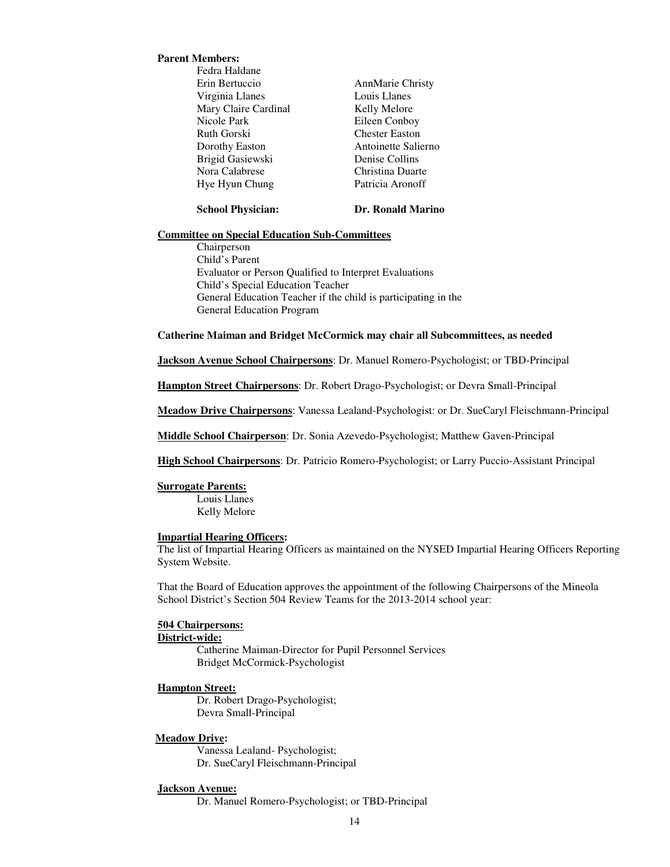#### **Parent Members:**

Fedra Haldane Erin Bertuccio AnnMarie Christy Virginia Llanes Louis Llanes Mary Claire Cardinal Kelly Melore Nicole Park Eileen Conboy<br>
Ruth Gorski<br>
Chester Easton Dorothy Easton **Antoinette Salierno**  Brigid Gasiewski Denise Collins Nora Calabrese Christina Duarte Hye Hyun Chung Patricia Aronoff

**Chester Easton** 

#### **School Physician: Dr. Ronald Marino**

#### **Committee on Special Education Sub-Committees**

Chairperson Child's Parent Evaluator or Person Qualified to Interpret Evaluations Child's Special Education Teacher General Education Teacher if the child is participating in the General Education Program

#### **Catherine Maiman and Bridget McCormick may chair all Subcommittees, as needed**

**Jackson Avenue School Chairpersons**: Dr. Manuel Romero-Psychologist; or TBD-Principal

**Hampton Street Chairpersons**: Dr. Robert Drago-Psychologist; or Devra Small-Principal

**Meadow Drive Chairpersons**: Vanessa Lealand-Psychologist: or Dr. SueCaryl Fleischmann-Principal

**Middle School Chairperson**: Dr. Sonia Azevedo-Psychologist; Matthew Gaven-Principal

**High School Chairpersons**: Dr. Patricio Romero-Psychologist; or Larry Puccio-Assistant Principal

#### **Surrogate Parents:**

Louis Llanes Kelly Melore

#### **Impartial Hearing Officers:**

The list of Impartial Hearing Officers as maintained on the NYSED Impartial Hearing Officers Reporting System Website.

That the Board of Education approves the appointment of the following Chairpersons of the Mineola School District's Section 504 Review Teams for the 2013-2014 school year:

#### **504 Chairpersons:**

#### **District-wide:**

Catherine Maiman-Director for Pupil Personnel Services Bridget McCormick-Psychologist

#### **Hampton Street:**

Dr. Robert Drago-Psychologist; Devra Small-Principal

#### **Meadow Drive:**

Vanessa Lealand- Psychologist; Dr. SueCaryl Fleischmann-Principal

#### **Jackson Avenue:**

Dr. Manuel Romero-Psychologist; or TBD-Principal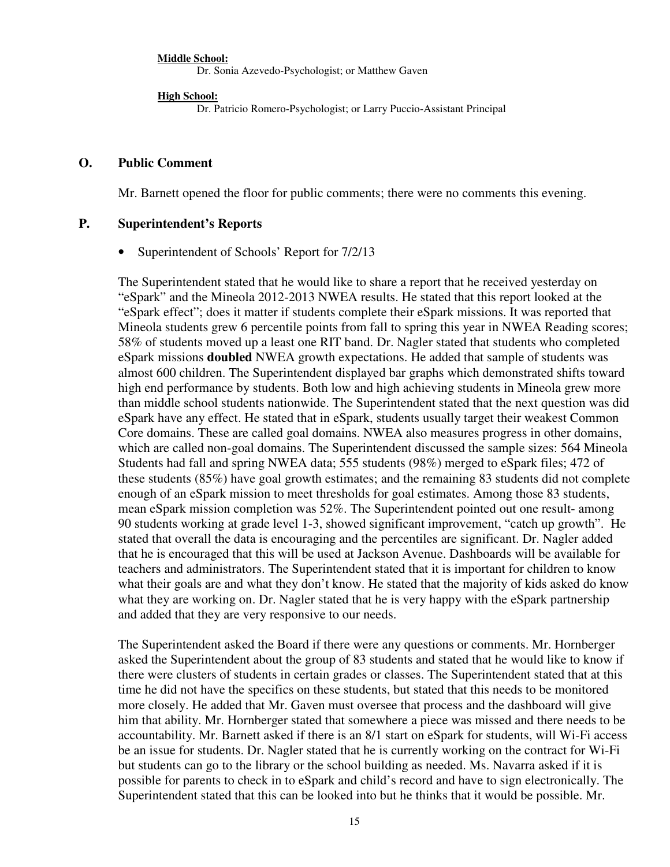**Middle School:** Dr. Sonia Azevedo-Psychologist; or Matthew Gaven

**High School:**

Dr. Patricio Romero-Psychologist; or Larry Puccio-Assistant Principal

### **O. Public Comment**

Mr. Barnett opened the floor for public comments; there were no comments this evening.

## **P. Superintendent's Reports**

• Superintendent of Schools' Report for 7/2/13

The Superintendent stated that he would like to share a report that he received yesterday on "eSpark" and the Mineola 2012-2013 NWEA results. He stated that this report looked at the "eSpark effect"; does it matter if students complete their eSpark missions. It was reported that Mineola students grew 6 percentile points from fall to spring this year in NWEA Reading scores; 58% of students moved up a least one RIT band. Dr. Nagler stated that students who completed eSpark missions **doubled** NWEA growth expectations. He added that sample of students was almost 600 children. The Superintendent displayed bar graphs which demonstrated shifts toward high end performance by students. Both low and high achieving students in Mineola grew more than middle school students nationwide. The Superintendent stated that the next question was did eSpark have any effect. He stated that in eSpark, students usually target their weakest Common Core domains. These are called goal domains. NWEA also measures progress in other domains, which are called non-goal domains. The Superintendent discussed the sample sizes: 564 Mineola Students had fall and spring NWEA data; 555 students (98%) merged to eSpark files; 472 of these students (85%) have goal growth estimates; and the remaining 83 students did not complete enough of an eSpark mission to meet thresholds for goal estimates. Among those 83 students, mean eSpark mission completion was 52%. The Superintendent pointed out one result- among 90 students working at grade level 1-3, showed significant improvement, "catch up growth". He stated that overall the data is encouraging and the percentiles are significant. Dr. Nagler added that he is encouraged that this will be used at Jackson Avenue. Dashboards will be available for teachers and administrators. The Superintendent stated that it is important for children to know what their goals are and what they don't know. He stated that the majority of kids asked do know what they are working on. Dr. Nagler stated that he is very happy with the eSpark partnership and added that they are very responsive to our needs.

The Superintendent asked the Board if there were any questions or comments. Mr. Hornberger asked the Superintendent about the group of 83 students and stated that he would like to know if there were clusters of students in certain grades or classes. The Superintendent stated that at this time he did not have the specifics on these students, but stated that this needs to be monitored more closely. He added that Mr. Gaven must oversee that process and the dashboard will give him that ability. Mr. Hornberger stated that somewhere a piece was missed and there needs to be accountability. Mr. Barnett asked if there is an 8/1 start on eSpark for students, will Wi-Fi access be an issue for students. Dr. Nagler stated that he is currently working on the contract for Wi-Fi but students can go to the library or the school building as needed. Ms. Navarra asked if it is possible for parents to check in to eSpark and child's record and have to sign electronically. The Superintendent stated that this can be looked into but he thinks that it would be possible. Mr.